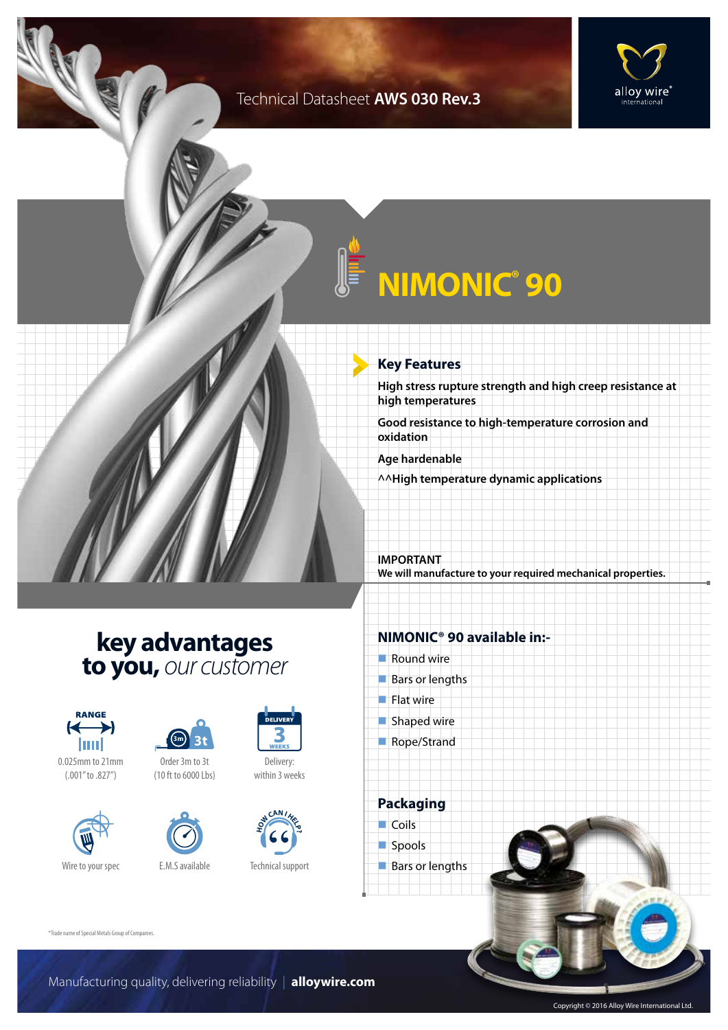### Technical Datasheet **AWS 030 Rev.3**



# **NIMONIC® 90**

### **Key Features**

**High stress rupture strength and high creep resistance at high temperatures**

**Good resistance to high-temperature corrosion and oxidation**

**Age hardenable**

**^^High temperature dynamic applications**

**IMPORTANT We will manufacture to your required mechanical properties.**

### **key advantages to you,** *our customer*



0.025mm to 21mm (.001" to .827")







Delivery: within 3 weeks



Technical support

### **NIMONIC® 90 available in:-**

- $\blacksquare$  Round wire
- $Bars$  or lengths
- $\blacksquare$  Flat wire
- $\blacksquare$  Shaped wire
- Rope/Strand

**Packaging**  $\Box$  Coils spools  $\blacksquare$  Bars or lengths

®Trade name of Special Metals Group of Companies.

Copyright © 2016 Alloy Wire International Ltd.